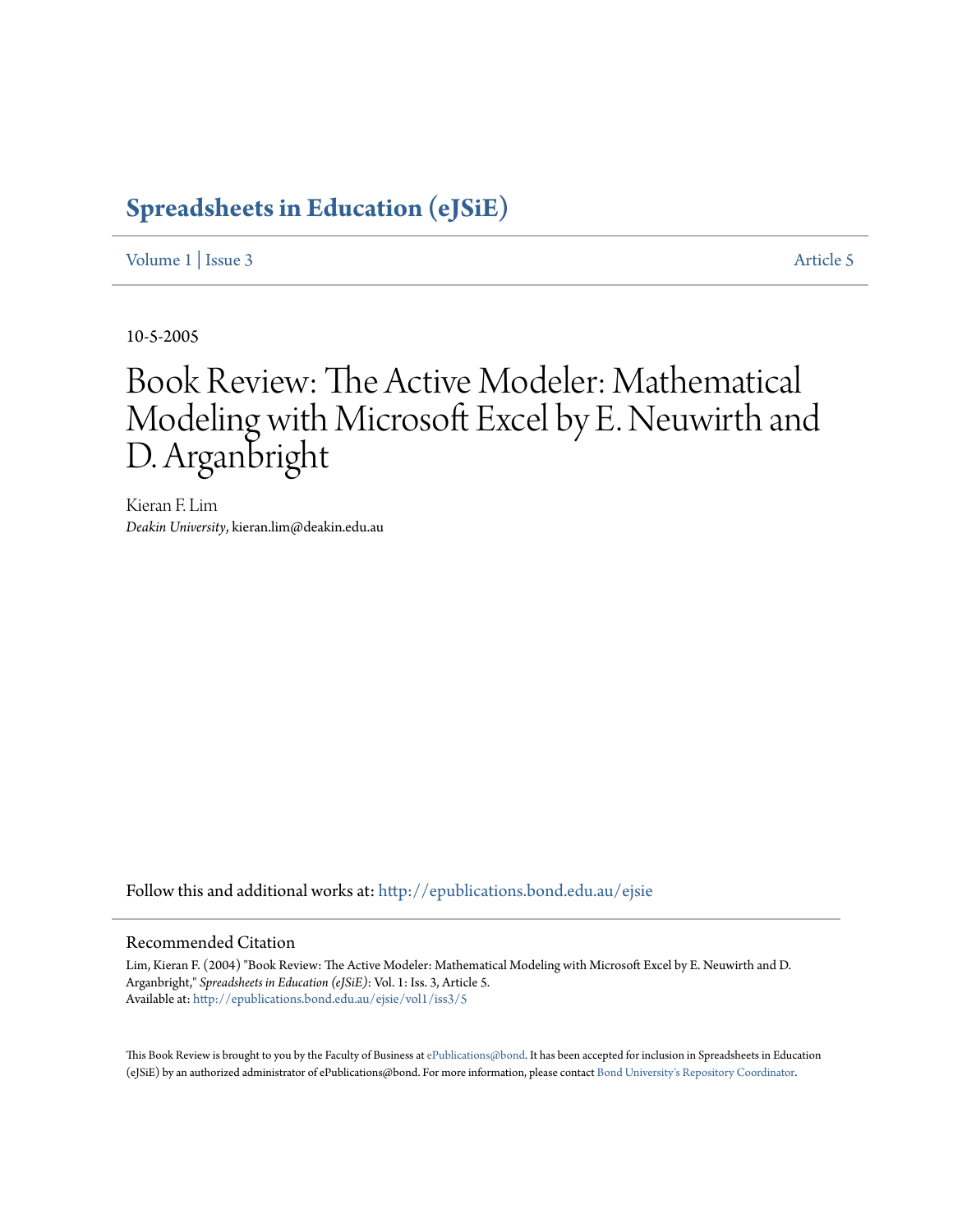### **[Spreadsheets in Education \(eJSiE\)](http://epublications.bond.edu.au/ejsie?utm_source=epublications.bond.edu.au%2Fejsie%2Fvol1%2Fiss3%2F5&utm_medium=PDF&utm_campaign=PDFCoverPages)**

[Volume 1](http://epublications.bond.edu.au/ejsie/vol1?utm_source=epublications.bond.edu.au%2Fejsie%2Fvol1%2Fiss3%2F5&utm_medium=PDF&utm_campaign=PDFCoverPages) | [Issue 3](http://epublications.bond.edu.au/ejsie/vol1/iss3?utm_source=epublications.bond.edu.au%2Fejsie%2Fvol1%2Fiss3%2F5&utm_medium=PDF&utm_campaign=PDFCoverPages) [Article 5](http://epublications.bond.edu.au/ejsie/vol1/iss3/5?utm_source=epublications.bond.edu.au%2Fejsie%2Fvol1%2Fiss3%2F5&utm_medium=PDF&utm_campaign=PDFCoverPages)

10-5-2005

# Book Review: The Active Modeler: Mathematical Modeling with Microsoft Excel by E. Neuwirth and D. Arganbright

Kieran F. Lim *Deakin University*, kieran.lim@deakin.edu.au

Follow this and additional works at: [http://epublications.bond.edu.au/ejsie](http://epublications.bond.edu.au/ejsie?utm_source=epublications.bond.edu.au%2Fejsie%2Fvol1%2Fiss3%2F5&utm_medium=PDF&utm_campaign=PDFCoverPages)

### Recommended Citation

Lim, Kieran F. (2004) "Book Review: The Active Modeler: Mathematical Modeling with Microsoft Excel by E. Neuwirth and D. Arganbright," *Spreadsheets in Education (eJSiE)*: Vol. 1: Iss. 3, Article 5. Available at: [http://epublications.bond.edu.au/ejsie/vol1/iss3/5](http://epublications.bond.edu.au/ejsie/vol1/iss3/5?utm_source=epublications.bond.edu.au%2Fejsie%2Fvol1%2Fiss3%2F5&utm_medium=PDF&utm_campaign=PDFCoverPages)

This Book Review is brought to you by the Faculty of Business at [ePublications@bond](http://epublications.bond.edu.au). It has been accepted for inclusion in Spreadsheets in Education (eJSiE) by an authorized administrator of ePublications@bond. For more information, please contact [Bond University's Repository Coordinator.](mailto:acass@bond.edu.au)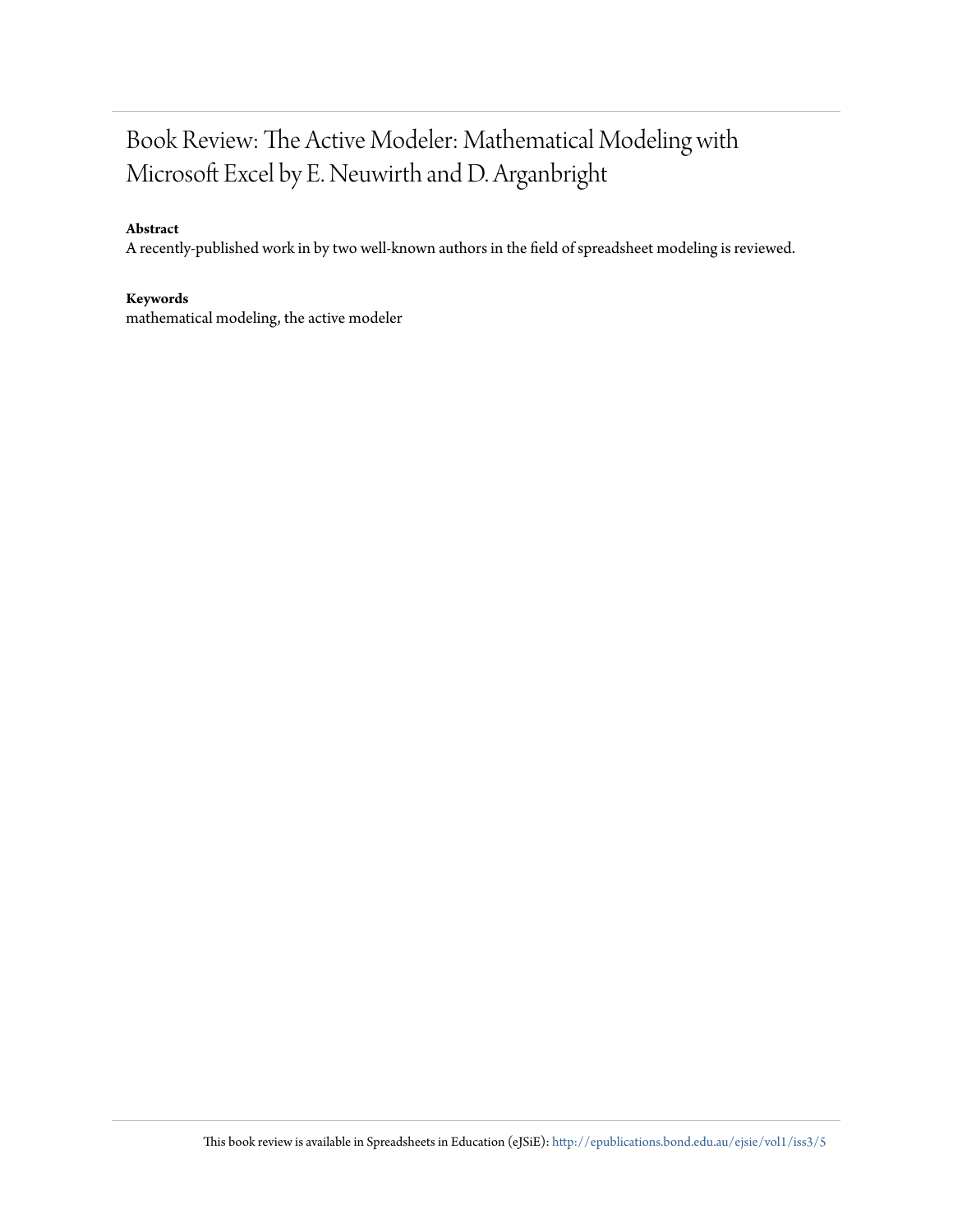### Book Review: The Active Modeler: Mathematical Modeling with Microsoft Excel by E. Neuwirth and D. Arganbright

### **Abstract**

A recently-published work in by two well-known authors in the field of spreadsheet modeling is reviewed.

### **Keywords**

mathematical modeling, the active modeler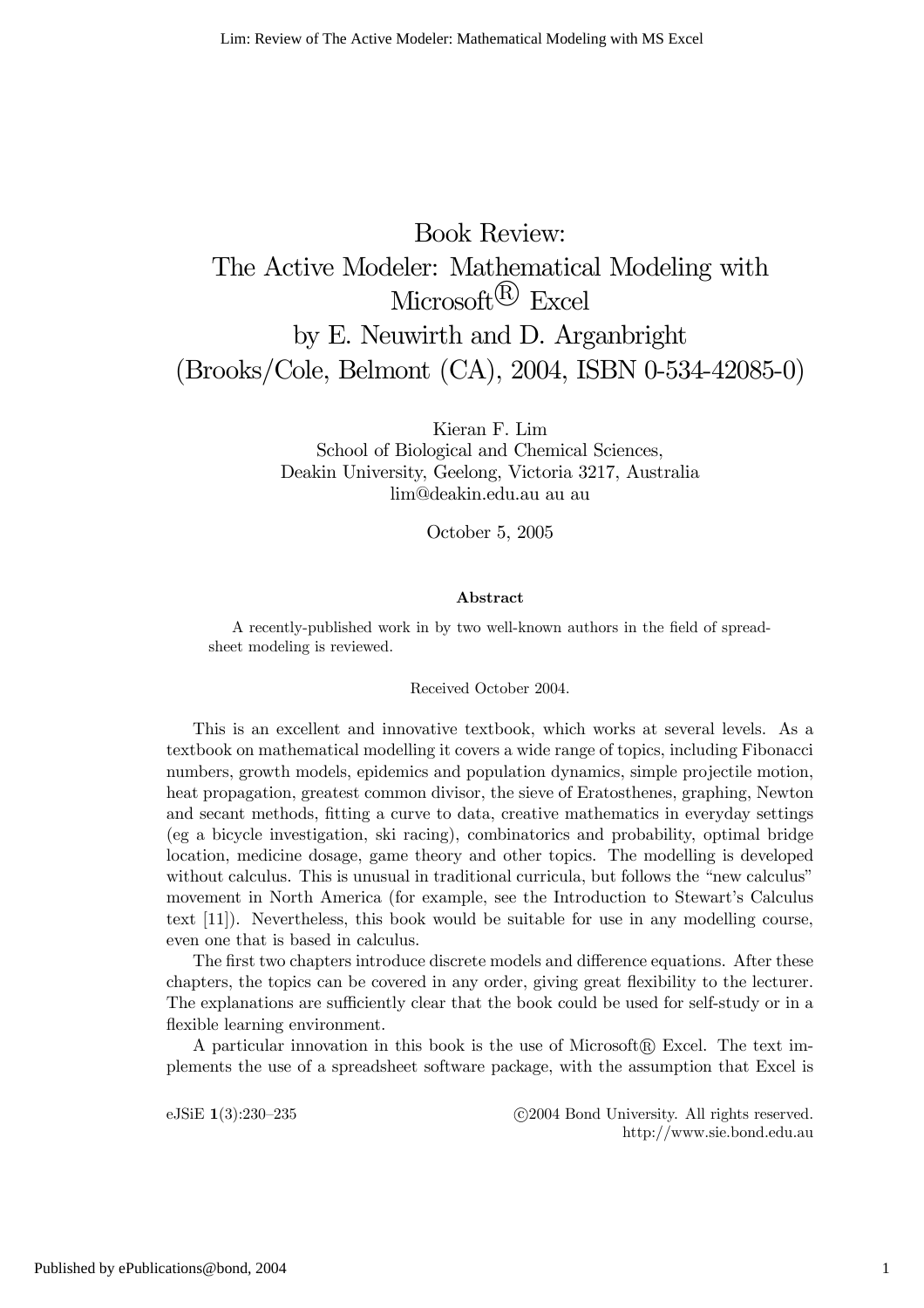## Book Review: The Active Modeler: Mathematical Modeling with Microsoft $\mathbb{R}$  Excel by E. Neuwirth and D. Arganbright (Brooks/Cole, Belmont (CA), 2004, ISBN 0-534-42085-0)

Kieran F. Lim School of Biological and Chemical Sciences, Deakin University, Geelong, Victoria 3217, Australia lim@deakin.edu.au au au

October 5, 2005

#### Abstract

A recently-published work in by two well-known authors in the field of spreadsheet modeling is reviewed.

#### Received October 2004.

This is an excellent and innovative textbook, which works at several levels. As a textbook on mathematical modelling it covers a wide range of topics, including Fibonacci numbers, growth models, epidemics and population dynamics, simple projectile motion, heat propagation, greatest common divisor, the sieve of Eratosthenes, graphing, Newton and secant methods, fitting a curve to data, creative mathematics in everyday settings (eg a bicycle investigation, ski racing), combinatorics and probability, optimal bridge location, medicine dosage, game theory and other topics. The modelling is developed without calculus. This is unusual in traditional curricula, but follows the "new calculus" movement in North America (for example, see the Introduction to Stewart's Calculus text [11]). Nevertheless, this book would be suitable for use in any modelling course, even one that is based in calculus.

The first two chapters introduce discrete models and difference equations. After these chapters, the topics can be covered in any order, giving great flexibility to the lecturer. The explanations are sufficiently clear that the book could be used for self-study or in a flexible learning environment.

A particular innovation in this book is the use of Microsoft $\mathbb R$  Excel. The text implements the use of a spreadsheet software package, with the assumption that Excel is

eJSiE 1(3):230–235 <sup>C</sup>C 2004 Bond University. All rights reserved. http://www.sie.bond.edu.au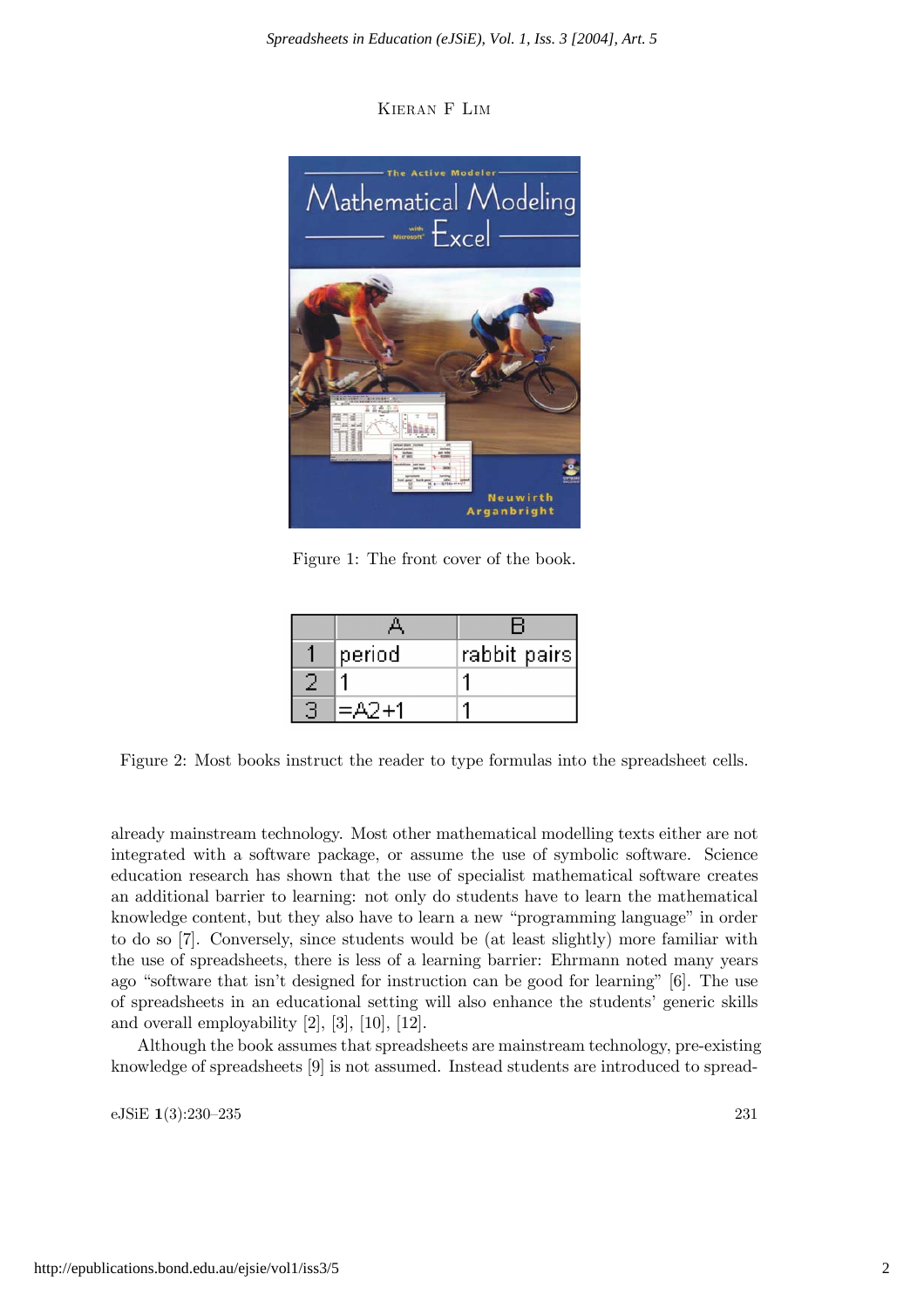Kieran F Lim



Figure 1: The front cover of the book.

| period | rabbit pairs] |
|--------|---------------|
|        |               |
| =Δラ∓1  |               |

Figure 2: Most books instruct the reader to type formulas into the spreadsheet cells.

already mainstream technology. Most other mathematical modelling texts either are not integrated with a software package, or assume the use of symbolic software. Science education research has shown that the use of specialist mathematical software creates an additional barrier to learning: not only do students have to learn the mathematical knowledge content, but they also have to learn a new "programming language" in order to do so [7]. Conversely, since students would be (at least slightly) more familiar with the use of spreadsheets, there is less of a learning barrier: Ehrmann noted many years ago "software that isn't designed for instruction can be good for learning" [6]. The use of spreadsheets in an educational setting will also enhance the students' generic skills and overall employability [2], [3], [10], [12].

Although the book assumes that spreadsheets are mainstream technology, pre-existing knowledge of spreadsheets [9] is not assumed. Instead students are introduced to spread-

eJSiE 1(3):230—235 231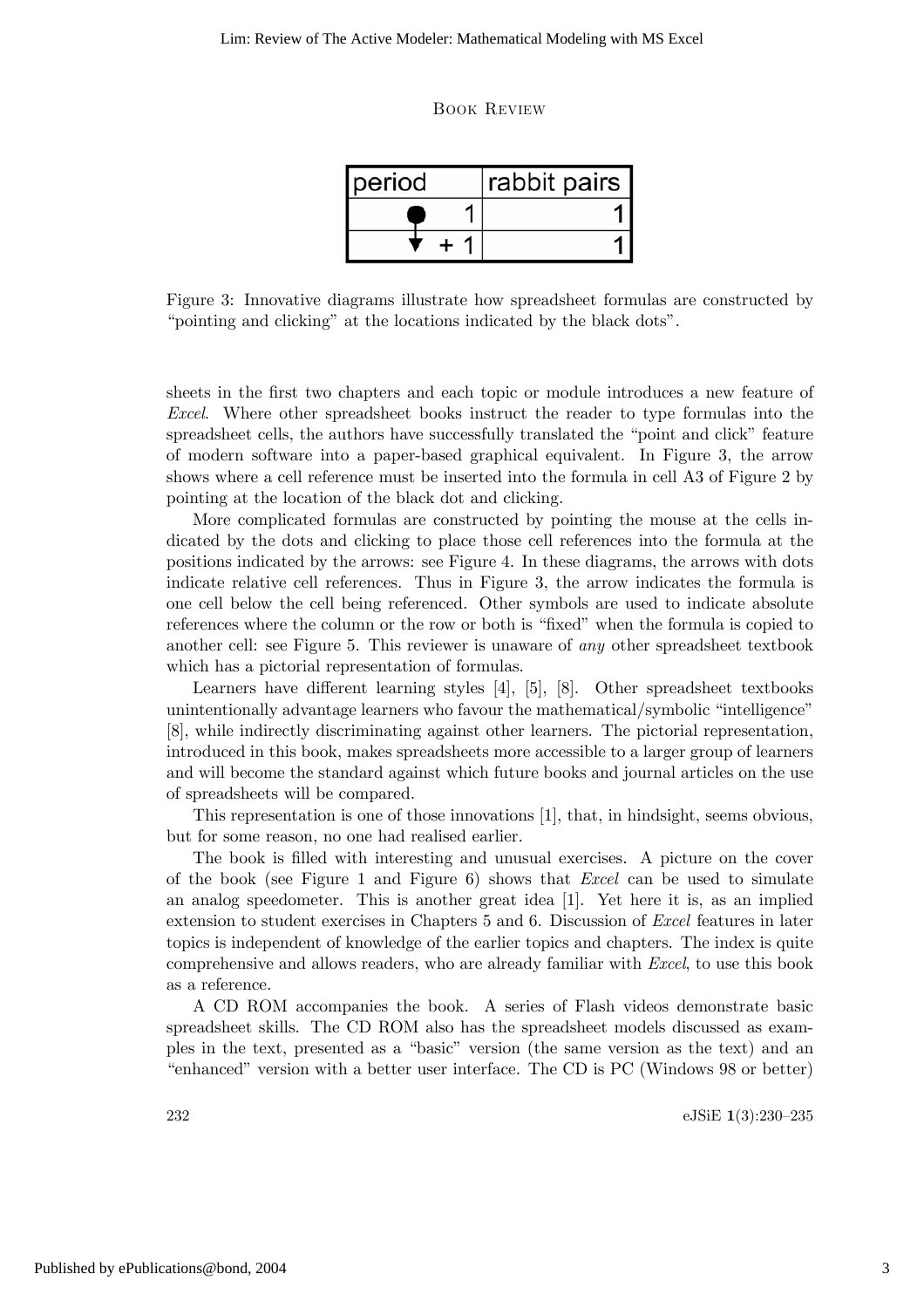Book Review

| <b>I</b> period | rabbit pairs |
|-----------------|--------------|
|                 |              |
|                 |              |

Figure 3: Innovative diagrams illustrate how spreadsheet formulas are constructed by "pointing and clicking" at the locations indicated by the black dots".

sheets in the first two chapters and each topic or module introduces a new feature of Excel. Where other spreadsheet books instruct the reader to type formulas into the spreadsheet cells, the authors have successfully translated the "point and click" feature of modern software into a paper-based graphical equivalent. In Figure 3, the arrow shows where a cell reference must be inserted into the formula in cell A3 of Figure 2 by pointing at the location of the black dot and clicking.

More complicated formulas are constructed by pointing the mouse at the cells indicated by the dots and clicking to place those cell references into the formula at the positions indicated by the arrows: see Figure 4. In these diagrams, the arrows with dots indicate relative cell references. Thus in Figure 3, the arrow indicates the formula is one cell below the cell being referenced. Other symbols are used to indicate absolute references where the column or the row or both is "fixed" when the formula is copied to another cell: see Figure 5. This reviewer is unaware of any other spreadsheet textbook which has a pictorial representation of formulas.

Learners have different learning styles [4], [5], [8]. Other spreadsheet textbooks unintentionally advantage learners who favour the mathematical/symbolic "intelligence" [8], while indirectly discriminating against other learners. The pictorial representation, introduced in this book, makes spreadsheets more accessible to a larger group of learners and will become the standard against which future books and journal articles on the use of spreadsheets will be compared.

This representation is one of those innovations [1], that, in hindsight, seems obvious, but for some reason, no one had realised earlier.

The book is filled with interesting and unusual exercises. A picture on the cover of the book (see Figure 1 and Figure 6) shows that *Excel* can be used to simulate an analog speedometer. This is another great idea [1]. Yet here it is, as an implied extension to student exercises in Chapters 5 and 6. Discussion of Excel features in later topics is independent of knowledge of the earlier topics and chapters. The index is quite comprehensive and allows readers, who are already familiar with Excel, to use this book as a reference.

A CD ROM accompanies the book. A series of Flash videos demonstrate basic spreadsheet skills. The CD ROM also has the spreadsheet models discussed as examples in the text, presented as a "basic" version (the same version as the text) and an "enhanced" version with a better user interface. The CD is PC (Windows 98 or better)

232 eJSiE 1(3):230—235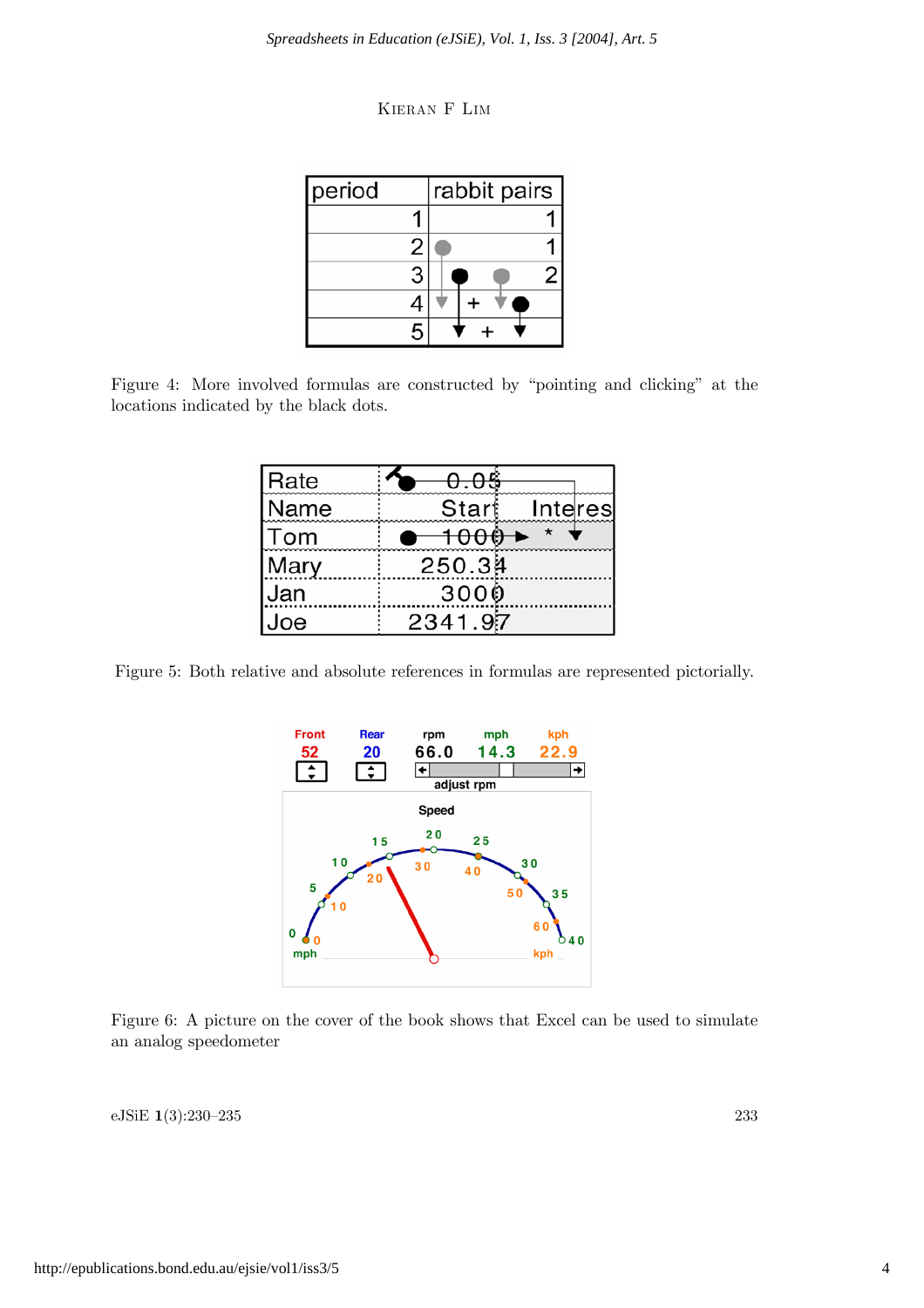| KIERAN F LIM |  |  |
|--------------|--|--|
|--------------|--|--|

| period |  | rabbit pairs |  |
|--------|--|--------------|--|
|        |  |              |  |
|        |  |              |  |
|        |  |              |  |
|        |  |              |  |
|        |  |              |  |

Figure 4: More involved formulas are constructed by "pointing and clicking" at the locations indicated by the black dots.

| <b>IRate</b> |         |         |
|--------------|---------|---------|
| Name         | Start   | Interes |
| lTom         | 1000    |         |
| Mary         | 250.34  |         |
| Jan          | 3000    |         |
| Joe          | 2341.97 |         |

Figure 5: Both relative and absolute references in formulas are represented pictorially.



Figure 6: A picture on the cover of the book shows that Excel can be used to simulate an analog speedometer

eJSiE 1(3):230—235 233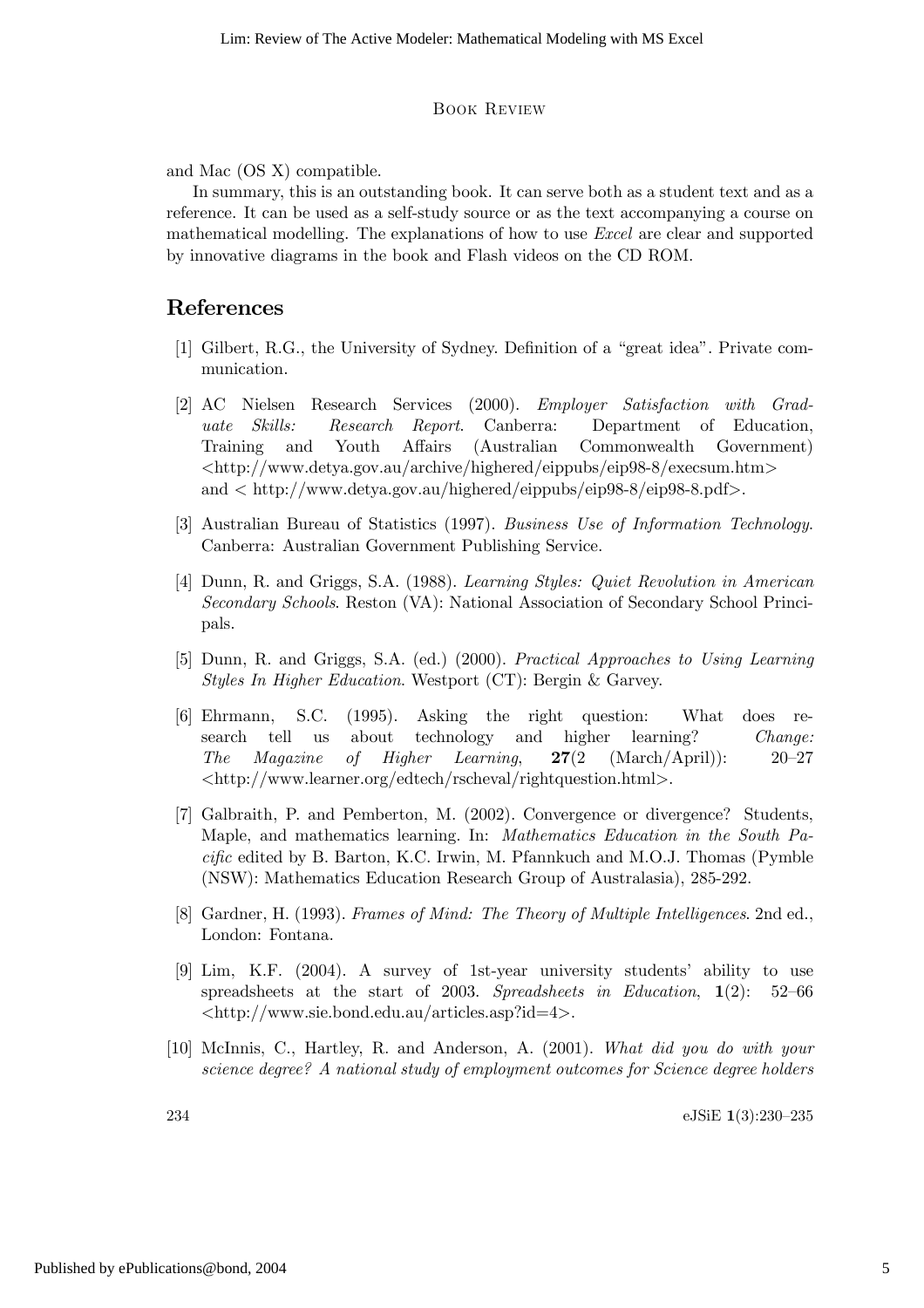#### Book Review

and Mac (OS X) compatible.

In summary, this is an outstanding book. It can serve both as a student text and as a reference. It can be used as a self-study source or as the text accompanying a course on mathematical modelling. The explanations of how to use Excel are clear and supported by innovative diagrams in the book and Flash videos on the CD ROM.

### References

- [1] Gilbert, R.G., the University of Sydney. Definition of a "great idea". Private communication.
- [2] AC Nielsen Research Services (2000). Employer Satisfaction with Graduate Skills: Research Report. Canberra: Department of Education, Training and Youth Affairs (Australian Commonwealth Government)  $\langle \text{http://www.detya.gov.au/archive/highered/eippubs/eip98-8/execsum.htm}\rangle$ and < http://www.detya.gov.au/highered/eippubs/eip98-8/eip98-8.pdf>.
- [3] Australian Bureau of Statistics (1997). Business Use of Information Technology. Canberra: Australian Government Publishing Service.
- [4] Dunn, R. and Griggs, S.A. (1988). Learning Styles: Quiet Revolution in American Secondary Schools. Reston (VA): National Association of Secondary School Principals.
- [5] Dunn, R. and Griggs, S.A. (ed.) (2000). Practical Approaches to Using Learning Styles In Higher Education. Westport (CT): Bergin & Garvey.
- [6] Ehrmann, S.C. (1995). Asking the right question: What does research tell us about technology and higher learning? Change: The Magazine of Higher Learning,  $27(2 \text{ (March/April)})$ : 20–27 <http://www.learner.org/edtech/rscheval/rightquestion.html>.
- [7] Galbraith, P. and Pemberton, M. (2002). Convergence or divergence? Students, Maple, and mathematics learning. In: Mathematics Education in the South Pacific edited by B. Barton, K.C. Irwin, M. Pfannkuch and M.O.J. Thomas (Pymble (NSW): Mathematics Education Research Group of Australasia), 285-292.
- [8] Gardner, H. (1993). Frames of Mind: The Theory of Multiple Intelligences. 2nd ed., London: Fontana.
- [9] Lim, K.F. (2004). A survey of 1st-year university students' ability to use spreadsheets at the start of 2003. Spreadsheets in Education, 1(2): 52—66 <http://www.sie.bond.edu.au/articles.asp?id=4>.
- [10] McInnis, C., Hartley, R. and Anderson, A. (2001). What did you do with your science degree? A national study of employment outcomes for Science degree holders

234 eJSiE 1(3):230—235